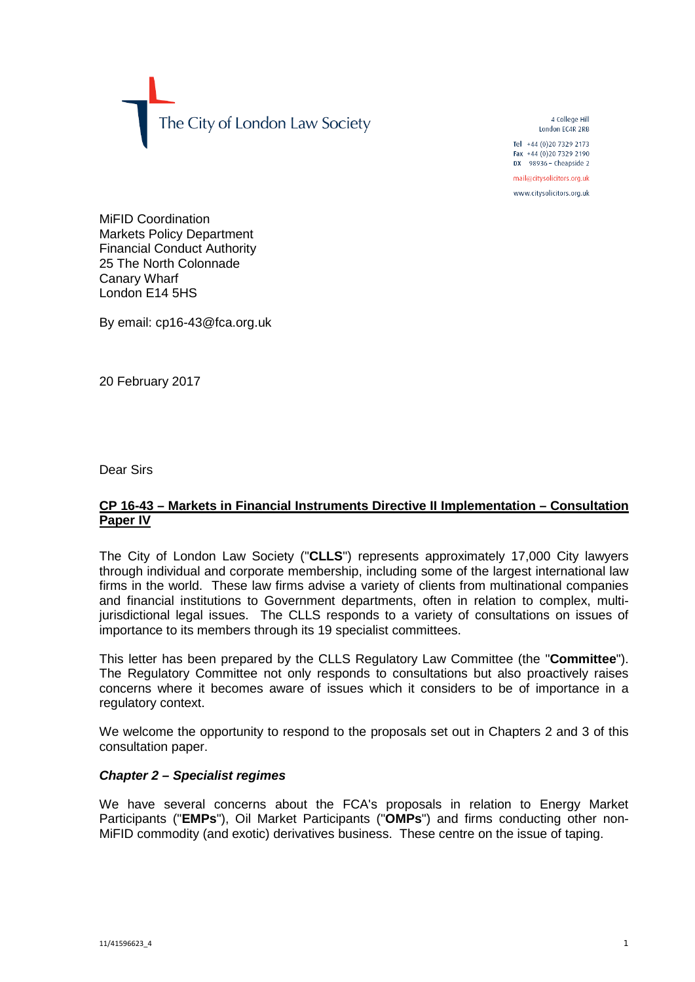The City of London Law Society

4 College Hill London FC4R 2RB

Tel +44 (0)20 7329 2173 Fax +44 (0)20 7329 2190 DX  $98936$  - Cheapside 2

mail@citysolicitors.org.uk

www.citysolicitors.org.uk

MiFID Coordination Markets Policy Department Financial Conduct Authority 25 The North Colonnade Canary Wharf London E14 5HS

By email: cp16-43@fca.org.uk

20 February 2017

Dear Sirs

## **CP 16-43 – Markets in Financial Instruments Directive II Implementation – Consultation Paper IV**

The City of London Law Society ("**CLLS**") represents approximately 17,000 City lawyers through individual and corporate membership, including some of the largest international law firms in the world. These law firms advise a variety of clients from multinational companies and financial institutions to Government departments, often in relation to complex, multijurisdictional legal issues. The CLLS responds to a variety of consultations on issues of importance to its members through its 19 specialist committees.

This letter has been prepared by the CLLS Regulatory Law Committee (the "**Committee**"). The Regulatory Committee not only responds to consultations but also proactively raises concerns where it becomes aware of issues which it considers to be of importance in a regulatory context.

We welcome the opportunity to respond to the proposals set out in Chapters 2 and 3 of this consultation paper.

## *Chapter 2 – Specialist regimes*

We have several concerns about the FCA's proposals in relation to Energy Market Participants ("**EMPs**"), Oil Market Participants ("**OMPs**") and firms conducting other non-MiFID commodity (and exotic) derivatives business. These centre on the issue of taping.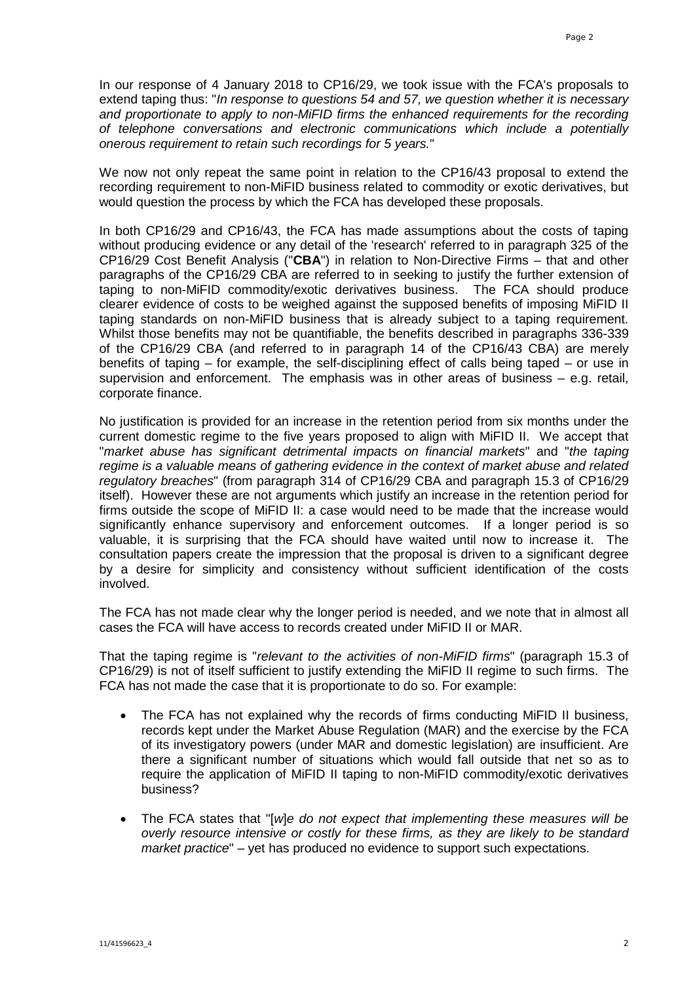In our response of 4 January 2018 to CP16/29, we took issue with the FCA's proposals to extend taping thus: "*In response to questions 54 and 57, we question whether it is necessary and proportionate to apply to non-MiFID firms the enhanced requirements for the recording of telephone conversations and electronic communications which include a potentially onerous requirement to retain such recordings for 5 years.*"

We now not only repeat the same point in relation to the CP16/43 proposal to extend the recording requirement to non-MiFID business related to commodity or exotic derivatives, but would question the process by which the FCA has developed these proposals.

In both CP16/29 and CP16/43, the FCA has made assumptions about the costs of taping without producing evidence or any detail of the 'research' referred to in paragraph 325 of the CP16/29 Cost Benefit Analysis ("**CBA**") in relation to Non-Directive Firms – that and other paragraphs of the CP16/29 CBA are referred to in seeking to justify the further extension of taping to non-MiFID commodity/exotic derivatives business. The FCA should produce clearer evidence of costs to be weighed against the supposed benefits of imposing MiFID II taping standards on non-MiFID business that is already subject to a taping requirement. Whilst those benefits may not be quantifiable, the benefits described in paragraphs 336-339 of the CP16/29 CBA (and referred to in paragraph 14 of the CP16/43 CBA) are merely benefits of taping – for example, the self-disciplining effect of calls being taped – or use in supervision and enforcement. The emphasis was in other areas of business – e.g. retail, corporate finance.

No justification is provided for an increase in the retention period from six months under the current domestic regime to the five years proposed to align with MiFID II. We accept that "*market abuse has significant detrimental impacts on financial markets*" and "*the taping regime is a valuable means of gathering evidence in the context of market abuse and related regulatory breaches*" (from paragraph 314 of CP16/29 CBA and paragraph 15.3 of CP16/29 itself). However these are not arguments which justify an increase in the retention period for firms outside the scope of MiFID II: a case would need to be made that the increase would significantly enhance supervisory and enforcement outcomes. If a longer period is so valuable, it is surprising that the FCA should have waited until now to increase it. The consultation papers create the impression that the proposal is driven to a significant degree by a desire for simplicity and consistency without sufficient identification of the costs involved.

The FCA has not made clear why the longer period is needed, and we note that in almost all cases the FCA will have access to records created under MiFID II or MAR.

That the taping regime is "*relevant to the activities of non-MiFID firms*" (paragraph 15.3 of CP16/29) is not of itself sufficient to justify extending the MiFID II regime to such firms. The FCA has not made the case that it is proportionate to do so. For example:

- The FCA has not explained why the records of firms conducting MiFID II business, records kept under the Market Abuse Regulation (MAR) and the exercise by the FCA of its investigatory powers (under MAR and domestic legislation) are insufficient. Are there a significant number of situations which would fall outside that net so as to require the application of MiFID II taping to non-MiFID commodity/exotic derivatives business?
- The FCA states that "[*w*]*e do not expect that implementing these measures will be overly resource intensive or costly for these firms, as they are likely to be standard market practice*" – yet has produced no evidence to support such expectations.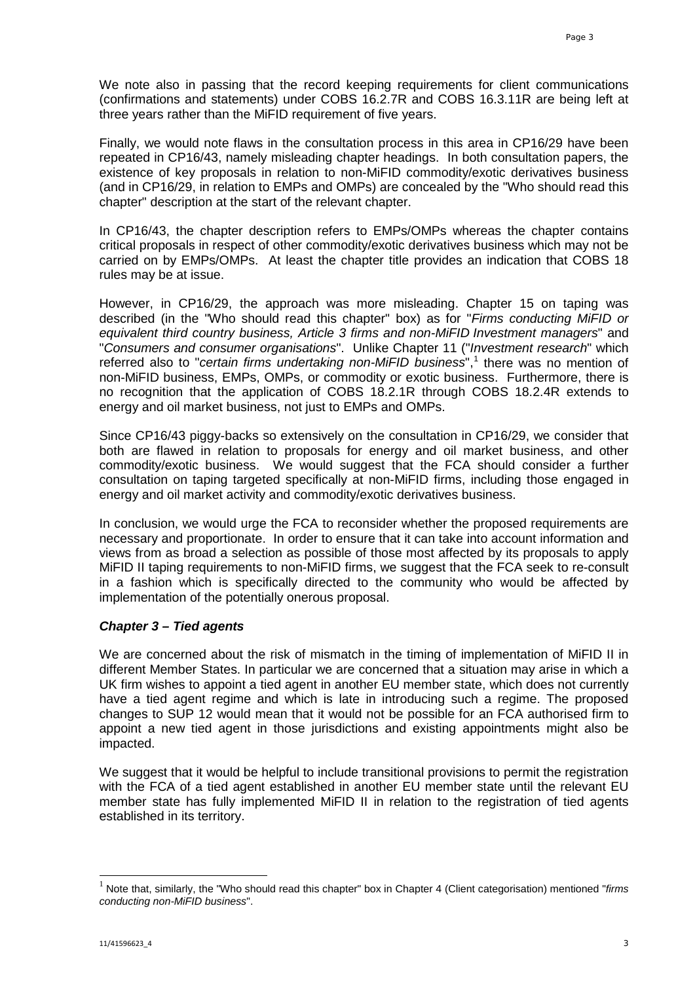We note also in passing that the record keeping requirements for client communications (confirmations and statements) under COBS 16.2.7R and COBS 16.3.11R are being left at three years rather than the MiFID requirement of five years.

Finally, we would note flaws in the consultation process in this area in CP16/29 have been repeated in CP16/43, namely misleading chapter headings. In both consultation papers, the existence of key proposals in relation to non-MiFID commodity/exotic derivatives business (and in CP16/29, in relation to EMPs and OMPs) are concealed by the "Who should read this chapter" description at the start of the relevant chapter.

In CP16/43, the chapter description refers to EMPs/OMPs whereas the chapter contains critical proposals in respect of other commodity/exotic derivatives business which may not be carried on by EMPs/OMPs. At least the chapter title provides an indication that COBS 18 rules may be at issue.

However, in CP16/29, the approach was more misleading. Chapter 15 on taping was described (in the "Who should read this chapter" box) as for "*Firms conducting MiFID or equivalent third country business, Article 3 firms and non-MiFID Investment managers*" and "*Consumers and consumer organisations*". Unlike Chapter 11 ("*Investment research*" which referred also to "*certain firms undertaking non-MiFID business*", [1](#page-2-0) there was no mention of non-MiFID business, EMPs, OMPs, or commodity or exotic business. Furthermore, there is no recognition that the application of COBS 18.2.1R through COBS 18.2.4R extends to energy and oil market business, not just to EMPs and OMPs.

Since CP16/43 piggy-backs so extensively on the consultation in CP16/29, we consider that both are flawed in relation to proposals for energy and oil market business, and other commodity/exotic business. We would suggest that the FCA should consider a further consultation on taping targeted specifically at non-MiFID firms, including those engaged in energy and oil market activity and commodity/exotic derivatives business.

In conclusion, we would urge the FCA to reconsider whether the proposed requirements are necessary and proportionate. In order to ensure that it can take into account information and views from as broad a selection as possible of those most affected by its proposals to apply MiFID II taping requirements to non-MiFID firms, we suggest that the FCA seek to re-consult in a fashion which is specifically directed to the community who would be affected by implementation of the potentially onerous proposal.

## *Chapter 3 – Tied agents*

We are concerned about the risk of mismatch in the timing of implementation of MiFID II in different Member States. In particular we are concerned that a situation may arise in which a UK firm wishes to appoint a tied agent in another EU member state, which does not currently have a tied agent regime and which is late in introducing such a regime. The proposed changes to SUP 12 would mean that it would not be possible for an FCA authorised firm to appoint a new tied agent in those jurisdictions and existing appointments might also be impacted.

We suggest that it would be helpful to include transitional provisions to permit the registration with the FCA of a tied agent established in another EU member state until the relevant EU member state has fully implemented MiFID II in relation to the registration of tied agents established in its territory.

<span id="page-2-0"></span><sup>1</sup> Note that, similarly, the "Who should read this chapter" box in Chapter 4 (Client categorisation) mentioned "*firms conducting non-MiFID business*".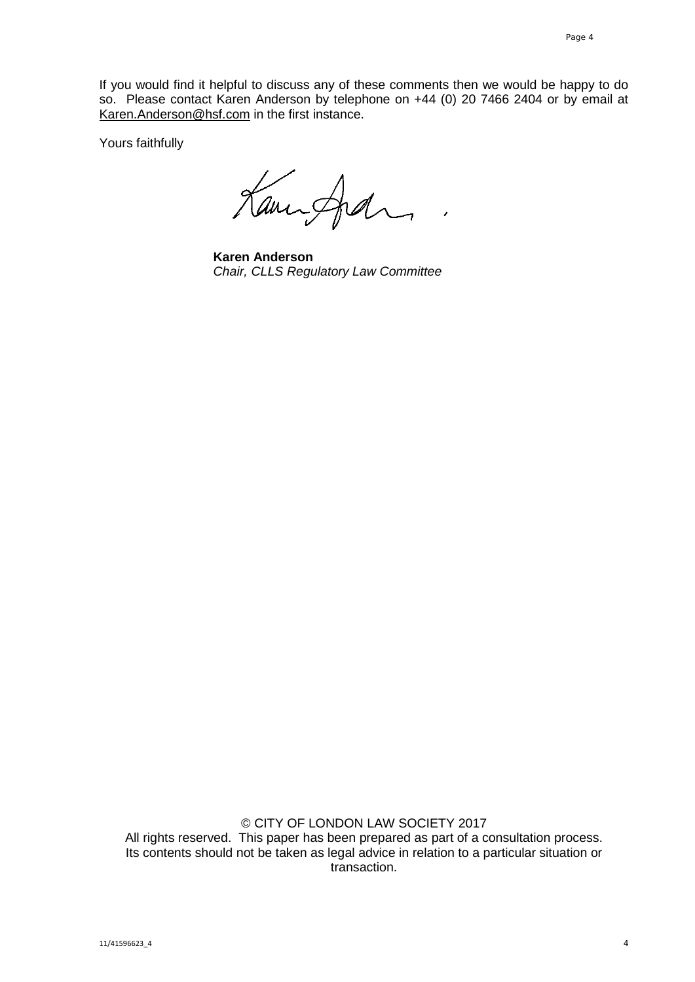If you would find it helpful to discuss any of these comments then we would be happy to do so. Please contact Karen Anderson by telephone on +44 (0) 20 7466 2404 or by email at [Karen.Anderson@hsf.com](mailto:Karen.Anderson@hsf.com) in the first instance.

Yours faithfully

Kanisfel

**Karen Anderson** *Chair, CLLS Regulatory Law Committee*

© CITY OF LONDON LAW SOCIETY 2017 All rights reserved. This paper has been prepared as part of a consultation process. Its contents should not be taken as legal advice in relation to a particular situation or transaction.